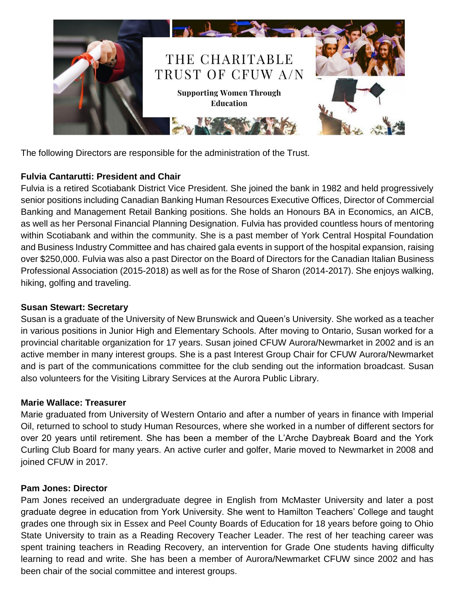

The following Directors are responsible for the administration of the Trust.

# **Fulvia Cantarutti: President and Chair**

Fulvia is a retired Scotiabank District Vice President. She joined the bank in 1982 and held progressively senior positions including Canadian Banking Human Resources Executive Offices, Director of Commercial Banking and Management Retail Banking positions. She holds an Honours BA in Economics, an AICB, as well as her Personal Financial Planning Designation. Fulvia has provided countless hours of mentoring within Scotiabank and within the community. She is a past member of York Central Hospital Foundation and Business Industry Committee and has chaired gala events in support of the hospital expansion, raising over \$250,000. Fulvia was also a past Director on the Board of Directors for the Canadian Italian Business Professional Association (2015-2018) as well as for the Rose of Sharon (2014-2017). She enjoys walking, hiking, golfing and traveling.

# **Susan Stewart: Secretary**

Susan is a graduate of the University of New Brunswick and Queen's University. She worked as a teacher in various positions in Junior High and Elementary Schools. After moving to Ontario, Susan worked for a provincial charitable organization for 17 years. Susan joined CFUW Aurora/Newmarket in 2002 and is an active member in many interest groups. She is a past Interest Group Chair for CFUW Aurora/Newmarket and is part of the communications committee for the club sending out the information broadcast. Susan also volunteers for the Visiting Library Services at the Aurora Public Library.

# **Marie Wallace: Treasurer**

Marie graduated from University of Western Ontario and after a number of years in finance with Imperial Oil, returned to school to study Human Resources, where she worked in a number of different sectors for over 20 years until retirement. She has been a member of the L'Arche Daybreak Board and the York Curling Club Board for many years. An active curler and golfer, Marie moved to Newmarket in 2008 and joined CFUW in 2017.

# **Pam Jones: Director**

Pam Jones received an undergraduate degree in English from McMaster University and later a post graduate degree in education from York University. She went to Hamilton Teachers' College and taught grades one through six in Essex and Peel County Boards of Education for 18 years before going to Ohio State University to train as a Reading Recovery Teacher Leader. The rest of her teaching career was spent training teachers in Reading Recovery, an intervention for Grade One students having difficulty learning to read and write. She has been a member of Aurora/Newmarket CFUW since 2002 and has been chair of the social committee and interest groups.